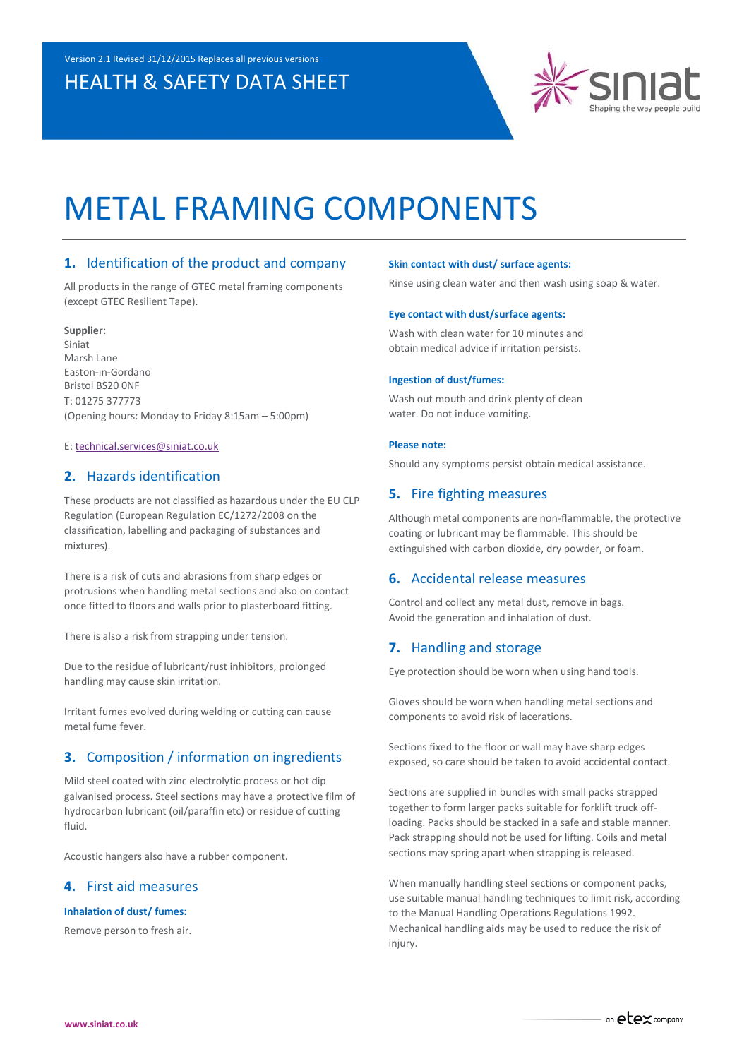# HEALTH & SAFETY DATA SHEET



# METAL FRAMING COMPONENTS

# **1.** Identification of the product and company

All products in the range of GTEC metal framing components (except GTEC Resilient Tape).

#### **Supplier:**

Siniat Marsh Lane Easton-in-Gordano Bristol BS20 0NF T: 01275 377773 (Opening hours: Monday to Friday 8:15am – 5:00pm)

### E: [technical.services@siniat.co.uk](mailto:technical.services@siniat.co.uk)

# **2.** Hazards identification

These products are not classified as hazardous under the EU CLP Regulation (European Regulation EC/1272/2008 on the classification, labelling and packaging of substances and mixtures).

There is a risk of cuts and abrasions from sharp edges or protrusions when handling metal sections and also on contact once fitted to floors and walls prior to plasterboard fitting.

There is also a risk from strapping under tension.

Due to the residue of lubricant/rust inhibitors, prolonged handling may cause skin irritation.

Irritant fumes evolved during welding or cutting can cause metal fume fever.

# **3.** Composition / information on ingredients

Mild steel coated with zinc electrolytic process or hot dip galvanised process. Steel sections may have a protective film of hydrocarbon lubricant (oil/paraffin etc) or residue of cutting fluid.

Acoustic hangers also have a rubber component.

# **4.** First aid measures

# **Inhalation of dust/ fumes:**

Remove person to fresh air.

#### **Skin contact with dust/ surface agents:**

Rinse using clean water and then wash using soap & water.

#### **Eye contact with dust/surface agents:**

Wash with clean water for 10 minutes and obtain medical advice if irritation persists.

#### **Ingestion of dust/fumes:**

Wash out mouth and drink plenty of clean water. Do not induce vomiting.

#### **Please note:**

Should any symptoms persist obtain medical assistance.

# **5.** Fire fighting measures

Although metal components are non-flammable, the protective coating or lubricant may be flammable. This should be extinguished with carbon dioxide, dry powder, or foam.

#### **6.** Accidental release measures

Control and collect any metal dust, remove in bags. Avoid the generation and inhalation of dust.

### **7.** Handling and storage

Eye protection should be worn when using hand tools.

Gloves should be worn when handling metal sections and components to avoid risk of lacerations.

Sections fixed to the floor or wall may have sharp edges exposed, so care should be taken to avoid accidental contact.

Sections are supplied in bundles with small packs strapped together to form larger packs suitable for forklift truck offloading. Packs should be stacked in a safe and stable manner. Pack strapping should not be used for lifting. Coils and metal sections may spring apart when strapping is released.

When manually handling steel sections or component packs, use suitable manual handling techniques to limit risk, according to the Manual Handling Operations Regulations 1992. Mechanical handling aids may be used to reduce the risk of injury.

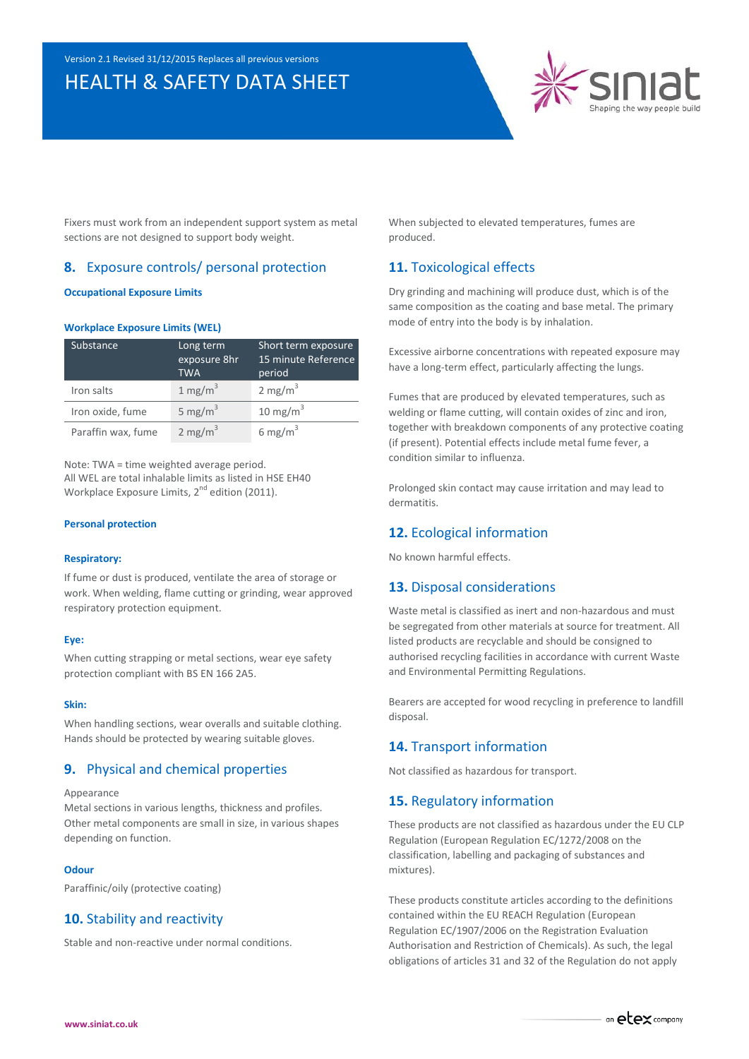# HEALTH & SAFETY DATA SHEET



Fixers must work from an independent support system as metal sections are not designed to support body weight.

# **8.** Exposure controls/ personal protection

#### **Occupational Exposure Limits**

#### **Workplace Exposure Limits (WEL)**

| Substance          | Long term<br>exposure 8hr<br><b>TWA</b> | Short term exposure<br>15 minute Reference<br>period |
|--------------------|-----------------------------------------|------------------------------------------------------|
| Iron salts         | 1 mg/m $3$                              | 2 mg/m <sup>3</sup>                                  |
| Iron oxide, fume   | 5 mg/m <sup>3</sup>                     | 10 mg/m $3$                                          |
| Paraffin wax, fume | 2 mg/m <sup>3</sup>                     | 6 mg/m <sup>3</sup>                                  |

Note: TWA = time weighted average period. All WEL are total inhalable limits as listed in HSE EH40 Workplace Exposure Limits, 2<sup>nd</sup> edition (2011).

#### **Personal protection**

#### **Respiratory:**

If fume or dust is produced, ventilate the area of storage or work. When welding, flame cutting or grinding, wear approved respiratory protection equipment.

# **Eye:**

When cutting strapping or metal sections, wear eye safety protection compliant with BS EN 166 2A5.

#### **Skin:**

When handling sections, wear overalls and suitable clothing. Hands should be protected by wearing suitable gloves.

# **9.** Physical and chemical properties

Appearance

Metal sections in various lengths, thickness and profiles. Other metal components are small in size, in various shapes depending on function.

#### **Odour**

Paraffinic/oily (protective coating)

# **10.** Stability and reactivity

Stable and non-reactive under normal conditions.

When subjected to elevated temperatures, fumes are produced.

# **11.** Toxicological effects

Dry grinding and machining will produce dust, which is of the same composition as the coating and base metal. The primary mode of entry into the body is by inhalation.

Excessive airborne concentrations with repeated exposure may have a long-term effect, particularly affecting the lungs.

Fumes that are produced by elevated temperatures, such as welding or flame cutting, will contain oxides of zinc and iron, together with breakdown components of any protective coating (if present). Potential effects include metal fume fever, a condition similar to influenza.

Prolonged skin contact may cause irritation and may lead to dermatitis.

# **12.** Ecological information

No known harmful effects.

# **13.** Disposal considerations

Waste metal is classified as inert and non-hazardous and must be segregated from other materials at source for treatment. All listed products are recyclable and should be consigned to authorised recycling facilities in accordance with current Waste and Environmental Permitting Regulations.

Bearers are accepted for wood recycling in preference to landfill disposal.

# **14.** Transport information

Not classified as hazardous for transport.

# **15.** Regulatory information

These products are not classified as hazardous under the EU CLP Regulation (European Regulation EC/1272/2008 on the classification, labelling and packaging of substances and mixtures).

These products constitute articles according to the definitions contained within the EU REACH Regulation (European Regulation EC/1907/2006 on the Registration Evaluation Authorisation and Restriction of Chemicals). As such, the legal obligations of articles 31 and 32 of the Regulation do not apply